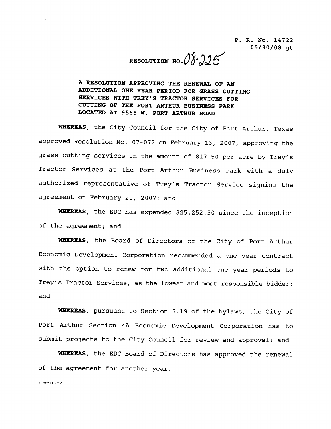RESOLUTION NO.  $08 - 225$ 

A RESOLUTION APPROVING THE RENEWAL OF AN A RESOLUTION APPROVING THE RENEWAL OF AN<br>ADDITIONAL ONE YEAR PERIOD FOR GRASS CUTTING **A RESOLUTION APPROVING THE RENEWAL OF AN<br>ADDITIONAL ONE YEAR PERIOD FOR GRASS CUTT<br>SERVICES WITH TREY'S TRACTOR SERVICES FOR<br>CUTTING OF THE PORT ARTHUR BUSINESS PARK** CUTTING OF THE PORT ARTHUR BUSINESS PARK LOCATED AT 9555 W. PORT ARTHUR ROAD SERVICES WITH TREY'S TRACTOR SERVICES FOR<br>CUTTING OF THE PORT ARTHUR BUSINESS PARK<br>LOCATED AT 9555 W. PORT ARTHUR ROAD<br>WHEREAS, the City Council for the City of Port Arthur, Texas

whike it of the CIty Council for the CIty of Port Arthur, Texas<br>approved Resolution No. 07-072 on February 13, 2007, approving the WHEREAS, the City Council for the City of Port Arthur, Texas<br>approved Resolution No. 07-072 on February 13, 2007, approving the<br>grass cutting services in the amount of \$17.50 per acre by Trey's<br>Tractor Services at the Port Tractor Services at the Port Arthur Business Park with a duLy grass cutting services in the amount of \$17.50 per acre by Trey's<br>Tractor Services at the Port Arthur Business Park with a duly<br>authorized representative of Trey's Tractor Service signing the<br>agreement on February 20, 2007 authorized representative of Trey's<br>agreement on February 20, 2007; and agreement on February 20, 2007; and<br>WHEREAS, the EDC has expended \$25,252.50 since the inception

of the agreement; and

WHEREAS, the Board of Directors of the City of Port Arthur Economic Development Corporation recommended a one year contract with the option to renew for two additional one year periods to Trey's Tractor Services, as the lowest and most responsible bidder; and

WHEREAS, pursuant to Section 8.19 of the bylaws, the City of Port Arthur Section 4A Economic Development Corporation has io submit projects to the City Council for review and approval; and

WHEREAS, the EDC Board of Directors has approved the renewal of the agreement for another year  $\begin{aligned} \mathsf{W} \end{aligned}$  of the<br>z.pr14722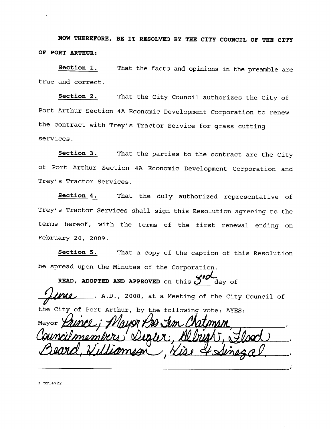NOW THEREFORE, BE IT RESOLVED BY THE CITY COUNCIL OF THE CITY OF PORT ARTHUR:

Section 1. That the facts and opinions in the preamble are true and correct

Section 2. That the City Council authorizes the City of Port Arthur Section 4A Economic Development Corporation to renew Section 2. That the City Council authorizes the C<br>Port Arthur Section 4A Economic Development Corporation to<br>the contract with Trey's Tractor Service for grass cutting<br>services services

Section 3. That the parties to the contract are the City of Port Arthur Section 4A Economic Development Corporation and Section 3. That<br>of Port Arthur Section<br>Trey's Tractor Services.

Section 4. That the duly authorized representative of Trey's Tractor Services.<br>
Section 4. That the duly authorized representative of<br>
Trey's Tractor Services shall sign this Resolution agreeing to the terms hereof, with the terms of the first renewal ending on February 20, 2009.

Section 5. That a copy of the caption of this Resolution be spread upon the Minutes of the Corporation

READ, ADOPTED AND APPROVED on this  $J''$  day of  $\mu$ ullessure and  $\mu$  and  $\mu$  at a Meeting of the City Council of the City of Port Arthur, by the following vote: AYES:

Mayor  $\hbar\lambda$   $\lambda$   $\lambda$   $\lambda$   $\lambda$   $\lambda$   $\lambda$